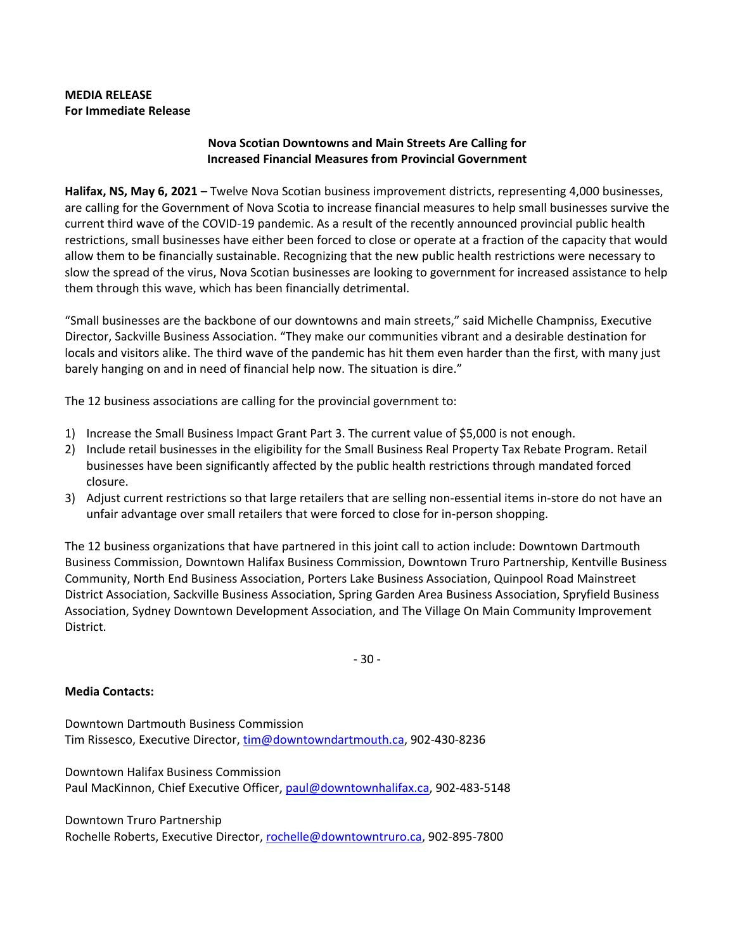## **MEDIA RELEASE For Immediate Release**

## **Nova Scotian Downtowns and Main Streets Are Calling for Increased Financial Measures from Provincial Government**

**Halifax, NS, May 6, 2021 –** Twelve Nova Scotian business improvement districts, representing 4,000 businesses, are calling for the Government of Nova Scotia to increase financial measures to help small businesses survive the current third wave of the COVID-19 pandemic. As a result of the recently announced provincial public health restrictions, small businesses have either been forced to close or operate at a fraction of the capacity that would allow them to be financially sustainable. Recognizing that the new public health restrictions were necessary to slow the spread of the virus, Nova Scotian businesses are looking to government for increased assistance to help them through this wave, which has been financially detrimental.

"Small businesses are the backbone of our downtowns and main streets," said Michelle Champniss, Executive Director, Sackville Business Association. "They make our communities vibrant and a desirable destination for locals and visitors alike. The third wave of the pandemic has hit them even harder than the first, with many just barely hanging on and in need of financial help now. The situation is dire."

The 12 business associations are calling for the provincial government to:

- 1) Increase the Small Business Impact Grant Part 3. The current value of \$5,000 is not enough.
- 2) Include retail businesses in the eligibility for the Small Business Real Property Tax Rebate Program. Retail businesses have been significantly affected by the public health restrictions through mandated forced closure.
- 3) Adjust current restrictions so that large retailers that are selling non-essential items in-store do not have an unfair advantage over small retailers that were forced to close for in-person shopping.

The 12 business organizations that have partnered in this joint call to action include: Downtown Dartmouth Business Commission, Downtown Halifax Business Commission, Downtown Truro Partnership, Kentville Business Community, North End Business Association, Porters Lake Business Association, Quinpool Road Mainstreet District Association, Sackville Business Association, Spring Garden Area Business Association, Spryfield Business Association, Sydney Downtown Development Association, and The Village On Main Community Improvement District.

- 30 -

## **Media Contacts:**

Downtown Dartmouth Business Commission Tim Rissesco, Executive Director[, tim@downtowndartmouth.ca,](mailto:tim@downtowndartmouth.ca) 902-430-8236

Downtown Halifax Business Commission Paul MacKinnon, Chief Executive Officer, [paul@downtownhalifax.ca,](mailto:paul@downtownhalifax.ca) 902-483-5148

Downtown Truro Partnership Rochelle Roberts, Executive Director[, rochelle@downtowntruro.ca,](mailto:rochelle@downtowntruro.ca) 902-895-7800